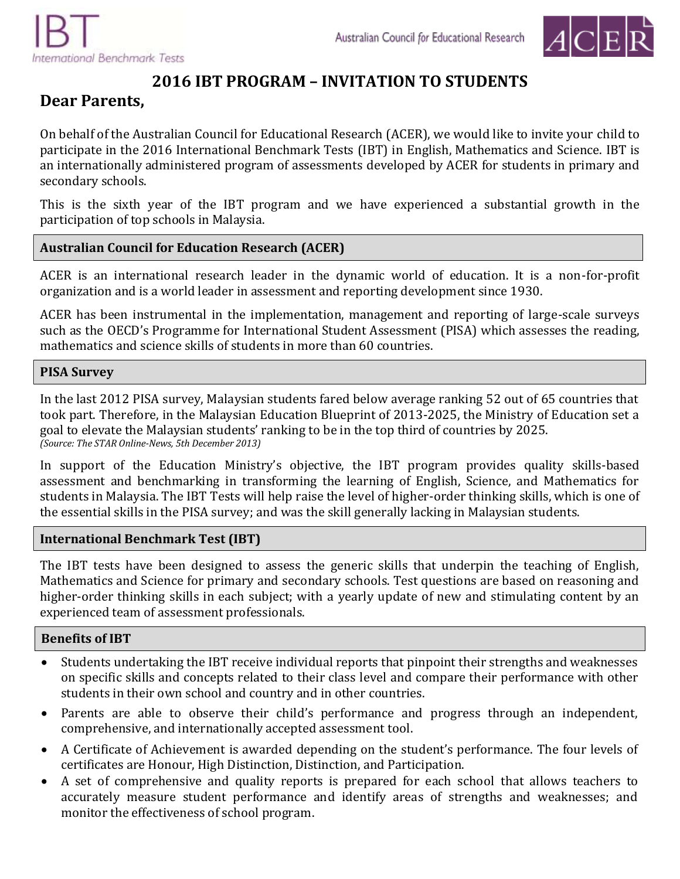

# **2016 IBT PROGRAM – INVITATION TO STUDENTS**

# **Dear Parents,**

On behalf of the Australian Council for Educational Research (ACER), we would like to invite your child to participate in the 2016 International Benchmark Tests (IBT) in English, Mathematics and Science. IBT is an internationally administered program of assessments developed by ACER for students in primary and secondary schools.

This is the sixth year of the IBT program and we have experienced a substantial growth in the participation of top schools in Malaysia.

## **Australian Council for Education Research (ACER)**

ACER is an international research leader in the dynamic world of education. It is a non-for-profit organization and is a world leader in assessment and reporting development since 1930.

ACER has been instrumental in the implementation, management and reporting of large-scale surveys such as the OECD's Programme for International Student Assessment (PISA) which assesses the reading, mathematics and science skills of students in more than 60 countries.

#### **PISA Survey**

In the last 2012 PISA survey, Malaysian students fared below average ranking 52 out of 65 countries that took part. Therefore, in the Malaysian Education Blueprint of 2013-2025, the Ministry of Education set a goal to elevate the Malaysian students' ranking to be in the top third of countries by 2025. *(Source: The STAR Online-News, 5th December 2013)*

In support of the Education Ministry's objective, the IBT program provides quality skills-based assessment and benchmarking in transforming the learning of English, Science, and Mathematics for students in Malaysia. The IBT Tests will help raise the level of higher-order thinking skills, which is one of the essential skills in the PISA survey; and was the skill generally lacking in Malaysian students.

#### **International Benchmark Test (IBT)**

The IBT tests have been designed to assess the generic skills that underpin the teaching of English, Mathematics and Science for primary and secondary schools. Test questions are based on reasoning and higher-order thinking skills in each subject; with a yearly update of new and stimulating content by an experienced team of assessment professionals.

## **Benefits of IBT**

- Students undertaking the IBT receive individual reports that pinpoint their strengths and weaknesses on specific skills and concepts related to their class level and compare their performance with other students in their own school and country and in other countries.
- Parents are able to observe their child's performance and progress through an independent, comprehensive, and internationally accepted assessment tool.
- A Certificate of Achievement is awarded depending on the student's performance. The four levels of certificates are Honour, High Distinction, Distinction, and Participation.
- A set of comprehensive and quality reports is prepared for each school that allows teachers to accurately measure student performance and identify areas of strengths and weaknesses; and monitor the effectiveness of school program.